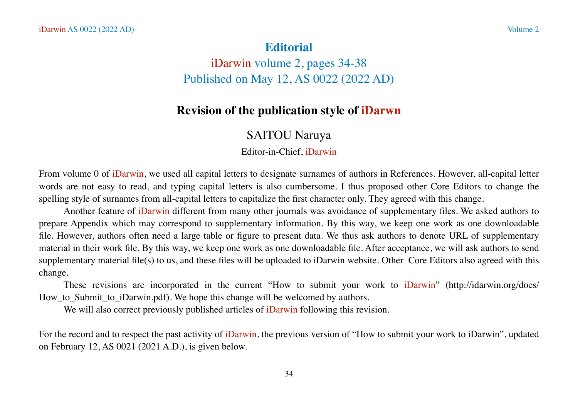## **Editorial**

iDarwin volume 2, pages 34-38 Published on May 12, AS 0022 (2022 AD)

# **Revision of the publication style of iDarwn**

# SAITOU Naruya

Editor-in-Chief, iDarwin

From volume 0 of iDarwin, we used all capital letters to designate surnames of authors in References. However, all-capital letter words are not easy to read, and typing capital letters is also cumbersome. I thus proposed other Core Editors to change the spelling style of surnames from all-capital letters to capitalize the first character only. They agreed with this change.

Another feature of iDarwin different from many other journals was avoidance of supplementary files. We asked authors to prepare Appendix which may correspond to supplementary information. By this way, we keep one work as one downloadable file. However, authors often need a large table or figure to present data. We thus ask authors to denote URL of supplementary material in their work file. By this way, we keep one work as one downloadable file. After acceptance, we will ask authors to send supplementary material file(s) to us, and these files will be uploaded to iDarwin website. Other Core Editors also agreed with this change.

These revisions are incorporated in the current "How to submit your work to iDarwin" (http://idarwin.org/docs/ How\_to\_Submit\_to\_iDarwin.pdf). We hope this change will be welcomed by authors.

We will also correct previously published articles of iDarwin following this revision.

For the record and to respect the past activity of iDarwin, the previous version of "How to submit your work to iDarwin", updated on February 12, AS 0021 (2021 A.D.), is given below.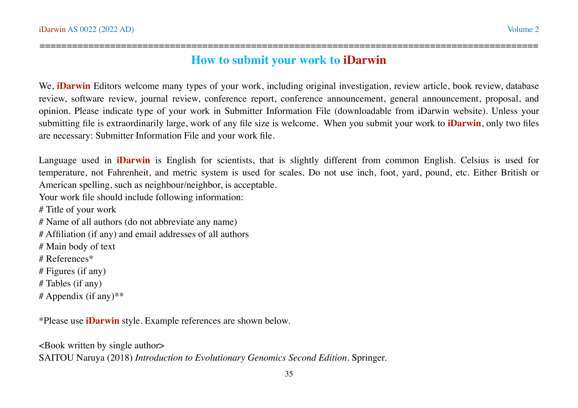### ============================================================================================ **How to submit your work to iDarwin**

We, **iDarwin** Editors welcome many types of your work, including original investigation, review article, book review, database review, software review, journal review, conference report, conference announcement, general announcement, proposal, and opinion. Please indicate type of your work in Submitter Information File (downloadable from iDarwin website). Unless your submitting file is extraordinarily large, work of any file size is welcome. When you submit your work to **iDarwin**, only two files are necessary: Submitter Information File and your work file.

Language used in **iDarwin** is English for scientists, that is slightly different from common English. Celsius is used for temperature, not Fahrenheit, and metric system is used for scales. Do not use inch, foot, yard, pound, etc. Either British or American spelling, such as neighbour/neighbor, is acceptable.

Your work file should include following information:

# Title of your work

# Name of all authors (do not abbreviate any name)

# Affiliation (if any) and email addresses of all authors

# Main body of text

# References\*

# Figures (if any)

# Tables (if any)

# Appendix (if any)\*\*

\*Please use **iDarwin** style. Example references are shown below.

<Book written by single author> SAITOU Naruya (2018) *Introduction to Evolutionary Genomics Second Edition*. Springer.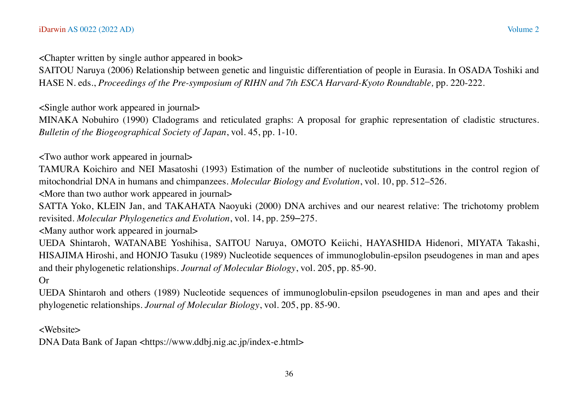<Chapter written by single author appeared in book>

SAITOU Naruya (2006) Relationship between genetic and linguistic differentiation of people in Eurasia. In OSADA Toshiki and HASE N. eds., *Proceedings of the Pre-symposium of RIHN and 7th ESCA Harvard-Kyoto Roundtable,* pp. 220-222.

<Single author work appeared in journal>

MINAKA Nobuhiro (1990) Cladograms and reticulated graphs: A proposal for graphic representation of cladistic structures. *Bulletin of the Biogeographical Society of Japan*, vol. 45, pp. 1-10.

<Two author work appeared in journal>

TAMURA Koichiro and NEI Masatoshi (1993) Estimation of the number of nucleotide substitutions in the control region of mitochondrial DNA in humans and chimpanzees. *Molecular Biology and Evolution*, vol. 10, pp. 512–526.

<More than two author work appeared in journal>

SATTA Yoko, KLEIN Jan, and TAKAHATA Naoyuki (2000) DNA archives and our nearest relative: The trichotomy problem revisited. *Molecular Phylogenetics and Evolution*, vol. 14, pp. 259–275.

<Many author work appeared in journal>

UEDA Shintaroh, WATANABE Yoshihisa, SAITOU Naruya, OMOTO Keiichi, HAYASHIDA Hidenori, MIYATA Takashi, HISAJIMA Hiroshi, and HONJO Tasuku (1989) Nucleotide sequences of immunoglobulin-epsilon pseudogenes in man and apes and their phylogenetic relationships. *Journal of Molecular Biology*, vol. 205, pp. 85-90.

Or

UEDA Shintaroh and others (1989) Nucleotide sequences of immunoglobulin-epsilon pseudogenes in man and apes and their phylogenetic relationships. *Journal of Molecular Biology*, vol. 205, pp. 85-90.

<Website>

DNA Data Bank of Japan <https://www.ddbj.nig.ac.jp/index-e.html>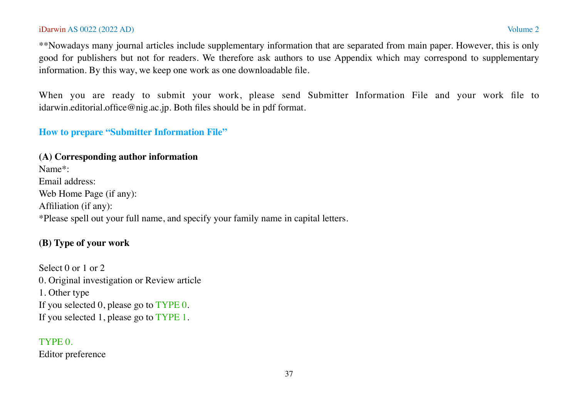#### iDarwin AS 0022 (2022 AD) Volume 2

\*\*Nowadays many journal articles include supplementary information that are separated from main paper. However, this is only good for publishers but not for readers. We therefore ask authors to use Appendix which may correspond to supplementary information. By this way, we keep one work as one downloadable file.

When you are ready to submit your work, please send Submitter Information File and your work file to idarwin.editorial.office@nig.ac.jp. Both files should be in pdf format.

#### **How to prepare "Submitter Information File"**

## **(A) Corresponding author information**

Name\*: Email address: Web Home Page (if any): Affiliation (if any): \*Please spell out your full name, and specify your family name in capital letters.

### **(B) Type of your work**

Select 0 or 1 or 2 0. Original investigation or Review article 1. Other type If you selected 0, please go to TYPE 0. If you selected 1, please go to TYPE 1.

#### TYPE 0.

Editor preference